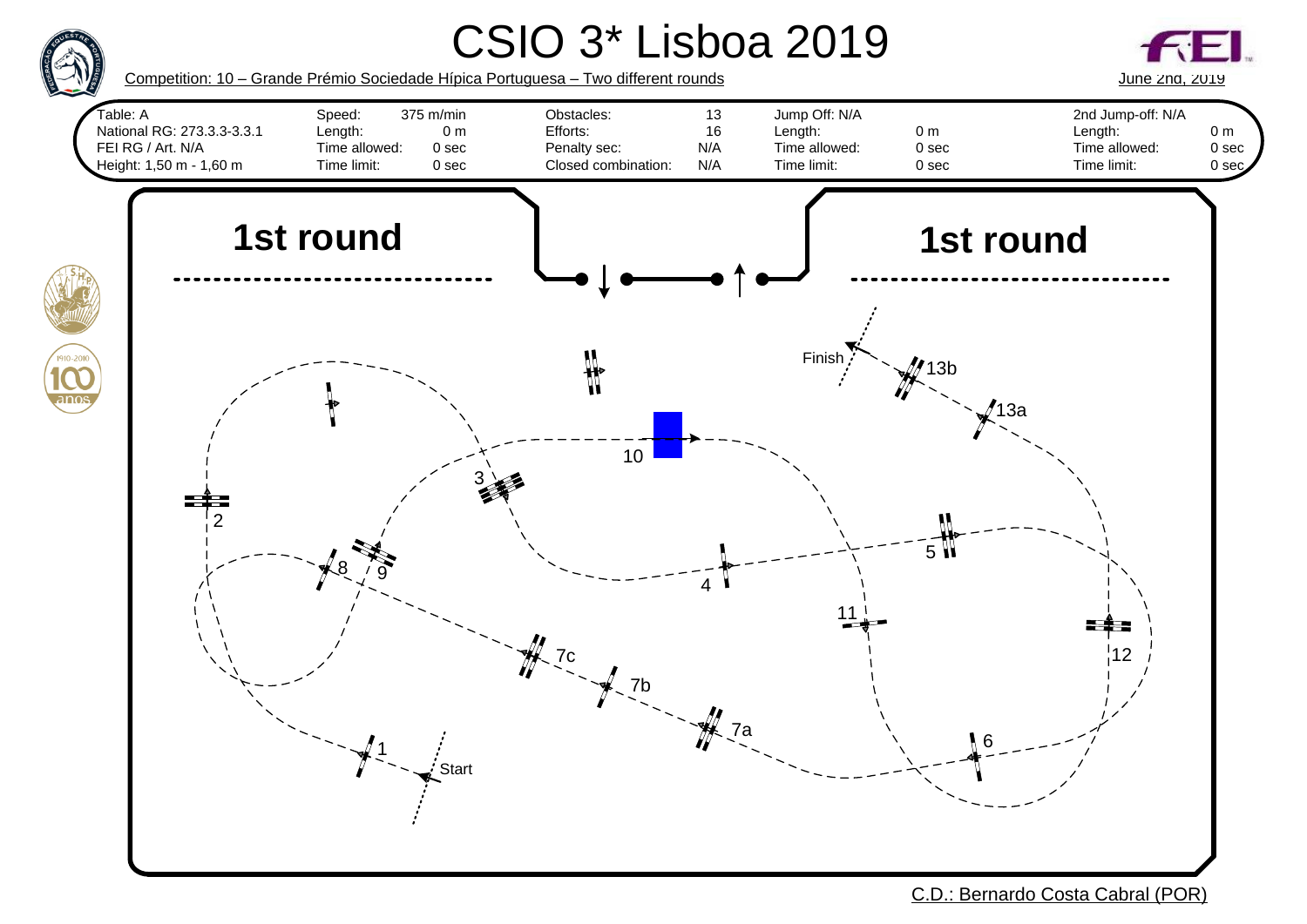